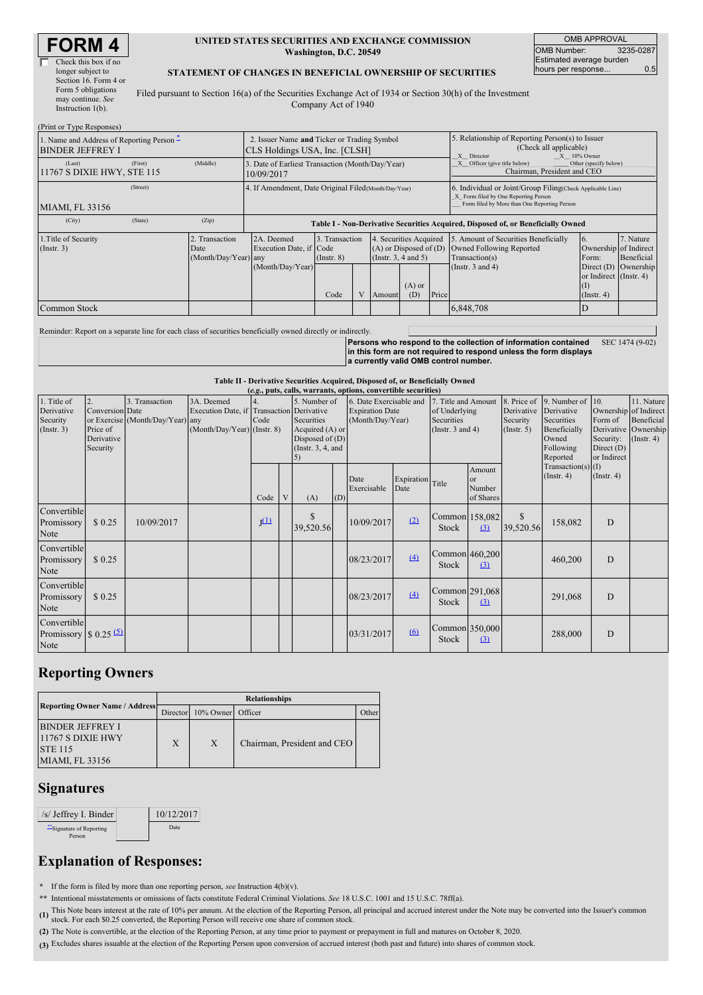| <b>RM</b>            |
|----------------------|
| Check this box if no |

| Check this box if no  |
|-----------------------|
| longer subject to     |
| Section 16. Form 4 or |
| Form 5 obligations    |
| may continue. See     |
| Instruction 1(b).     |

#### **UNITED STATES SECURITIES AND EXCHANGE COMMISSION Washington, D.C. 20549**

OMB APPROVAL OMB Number: 3235-0287 Estimated average burden hours per response... 0.5

SEC 1474 (9-02)

### **STATEMENT OF CHANGES IN BENEFICIAL OWNERSHIP OF SECURITIES**

Filed pursuant to Section 16(a) of the Securities Exchange Act of 1934 or Section 30(h) of the Investment Company Act of 1940

| (Print or Type Responses)                                            |                                                                              |                                                                                  |      |                                                                                   |        |                 |                                                                                                                                                    |                                      |                                                   |                      |
|----------------------------------------------------------------------|------------------------------------------------------------------------------|----------------------------------------------------------------------------------|------|-----------------------------------------------------------------------------------|--------|-----------------|----------------------------------------------------------------------------------------------------------------------------------------------------|--------------------------------------|---------------------------------------------------|----------------------|
| 1. Name and Address of Reporting Person –<br><b>BINDER JEFFREY I</b> | 2. Issuer Name and Ticker or Trading Symbol<br>CLS Holdings USA, Inc. [CLSH] |                                                                                  |      |                                                                                   |        |                 | 5. Relationship of Reporting Person(s) to Issuer<br>(Check all applicable)<br>X Director<br>$X = 10\%$ Owner                                       |                                      |                                                   |                      |
| (First)<br>(Last)<br>11767 S DIXIE HWY, STE 115                      | (Middle)                                                                     | 3. Date of Earliest Transaction (Month/Day/Year)<br>10/09/2017                   |      |                                                                                   |        |                 | Officer (give title below)<br>Other (specify below)<br>Chairman, President and CEO                                                                 |                                      |                                                   |                      |
| (Street)<br><b>MIAMI, FL 33156</b>                                   |                                                                              | 4. If Amendment, Date Original Filed (Month/Day/Year)                            |      |                                                                                   |        |                 | 6. Individual or Joint/Group Filing(Check Applicable Line)<br>X Form filed by One Reporting Person<br>Form filed by More than One Reporting Person |                                      |                                                   |                      |
| (State)<br>(City)                                                    | (Zip)                                                                        | Table I - Non-Derivative Securities Acquired, Disposed of, or Beneficially Owned |      |                                                                                   |        |                 |                                                                                                                                                    |                                      |                                                   |                      |
| 1. Title of Security<br>(Insert. 3)                                  | 2A. Deemed<br>Execution Date, if Code<br>(Month/Day/Year) any                | 3. Transaction<br>$($ Instr. $8)$                                                |      | 4. Securities Acquired<br>$(A)$ or Disposed of $(D)$<br>$($ Instr. 3, 4 and 5 $)$ |        |                 | 5. Amount of Securities Beneficially<br>Owned Following Reported<br>Transaction(s)                                                                 | 6.<br>Ownership of Indirect<br>Form: | 7. Nature<br>Beneficial                           |                      |
|                                                                      |                                                                              | (Month/Day/Year)                                                                 | Code |                                                                                   | Amount | $(A)$ or<br>(D) | Price                                                                                                                                              | (Instr. $3$ and $4$ )                | or Indirect (Instr. 4)<br>(I)<br>$($ Instr. 4 $)$ | Direct (D) Ownership |
| Common Stock                                                         |                                                                              |                                                                                  |      |                                                                                   |        |                 |                                                                                                                                                    | 6,848,708                            | D                                                 |                      |

| Reminder: Report on a separate line for each class of securities beneficially owned directly or indirectly. |                                                                    |
|-------------------------------------------------------------------------------------------------------------|--------------------------------------------------------------------|
|                                                                                                             | Persons who respond to the collection of information contained     |
|                                                                                                             | lin this form are not required to respond unless the form displays |
|                                                                                                             | a currently valid OMB control number.                              |

**Table II - Derivative Securities Acquired, Disposed of, or Beneficially Owned**

|                                                          |                                    |                                                    |                             |                             |                                                                         |                            |                                                                       | (e.g., puts, calls, warrants, options, convertible securities) |                                                    |                                |                                           |                                                      |                                                |                                                                                               |                                        |
|----------------------------------------------------------|------------------------------------|----------------------------------------------------|-----------------------------|-----------------------------|-------------------------------------------------------------------------|----------------------------|-----------------------------------------------------------------------|----------------------------------------------------------------|----------------------------------------------------|--------------------------------|-------------------------------------------|------------------------------------------------------|------------------------------------------------|-----------------------------------------------------------------------------------------------|----------------------------------------|
| 1. Title of<br>Derivative<br>Security                    | 2.<br><b>Conversion</b> Date       | 3. Transaction<br>or Exercise (Month/Day/Year) any | 3A. Deemed                  | Code                        | 5. Number of<br>Execution Date, if Transaction Derivative<br>Securities |                            | 6. Date Exercisable and<br><b>Expiration Date</b><br>(Month/Day/Year) |                                                                | 7. Title and Amount<br>of Underlying<br>Securities |                                | 8. Price of<br>Derivative<br>Security     | 9. Number of $\vert$ 10.<br>Derivative<br>Securities | Form of                                        | 11. Nature<br>Ownership of Indirect<br>Beneficial<br>Derivative Ownership<br>$($ Instr. 4 $)$ |                                        |
| (Insert. 3)                                              | Price of<br>Derivative<br>Security |                                                    | (Month/Day/Year) (Instr. 8) |                             |                                                                         |                            | Acquired (A) or<br>Disposed of $(D)$<br>(Instr. $3, 4$ , and          |                                                                |                                                    |                                | (Instr. $3$ and $4$ )<br>$($ Instr. 5 $)$ |                                                      | Beneficially<br>Owned<br>Following<br>Reported |                                                                                               | Security:<br>Direct (D)<br>or Indirect |
|                                                          |                                    |                                                    |                             | Code                        | V                                                                       | (A)                        | (D)                                                                   | Date<br>Exercisable                                            | Expiration Title<br>Date                           |                                | Amount<br>$\alpha$<br>Number<br>of Shares |                                                      | Transaction(s) $(I)$<br>$($ Instr. 4 $)$       | $($ Instr. 4 $)$                                                                              |                                        |
| Convertible<br>Promissory<br>Note                        | \$0.25                             | 10/09/2017                                         |                             | $\underline{\mathbf{r}}(1)$ |                                                                         | <sup>\$</sup><br>39,520.56 |                                                                       | 10/09/2017                                                     | (2)                                                | Common 158,082<br><b>Stock</b> | (3)                                       | \$<br>39,520.56                                      | 158,082                                        | D                                                                                             |                                        |
| Convertible<br>Promissory<br>Note                        | \$0.25                             |                                                    |                             |                             |                                                                         |                            |                                                                       | 08/23/2017                                                     | (4)                                                | Common 460,200<br>Stock        | (3)                                       |                                                      | 460,200                                        | D                                                                                             |                                        |
| Convertible<br>Promissory<br>Note                        | \$0.25                             |                                                    |                             |                             |                                                                         |                            |                                                                       | 08/23/2017                                                     | (4)                                                | Common 291,068<br><b>Stock</b> | (3)                                       |                                                      | 291,068                                        | D                                                                                             |                                        |
| Convertible<br>Promissory $\frac{1}{2}$ 0.25 (5)<br>Note |                                    |                                                    |                             |                             |                                                                         |                            |                                                                       | 03/31/2017                                                     | 6                                                  | Common 350,000<br>Stock        | $\Omega$                                  |                                                      | 288,000                                        | D                                                                                             |                                        |

## **Reporting Owners**

|                                                                                   | <b>Relationships</b> |                   |                             |              |  |  |  |  |
|-----------------------------------------------------------------------------------|----------------------|-------------------|-----------------------------|--------------|--|--|--|--|
| <b>Reporting Owner Name / Address</b>                                             | Director             | 10% Owner Officer |                             | <b>Other</b> |  |  |  |  |
| <b>BINDER JEFFREY I</b><br>11767 S DIXIE HWY<br><b>STE 115</b><br>MIAMI, FL 33156 | X                    | $\mathbf{X}$      | Chairman, President and CEO |              |  |  |  |  |

## **Signatures**

| $/s/$ Jeffrey I. Binder          | 10/12/2017  |  |
|----------------------------------|-------------|--|
| Signature of Reporting<br>Person | <b>Date</b> |  |

# **Explanation of Responses:**

**\*** If the form is filed by more than one reporting person, *see* Instruction 4(b)(v).

**\*\*** Intentional misstatements or omissions of facts constitute Federal Criminal Violations. *See* 18 U.S.C. 1001 and 15 U.S.C. 78ff(a).

(1) This Note bears interest at the rate of 10% per annum. At the election of the Reporting Person, all principal and accrued interest under the Note may be converted into the Issuer's common stock. For each \$0.25 converte

**(2)** The Note is convertible, at the election of the Reporting Person, at any time prior to payment or prepayment in full and matures on October 8, 2020.

**(3)** Excludes shares issuable at the election of the Reporting Person upon conversion of accrued interest (both past and future) into shares of common stock.